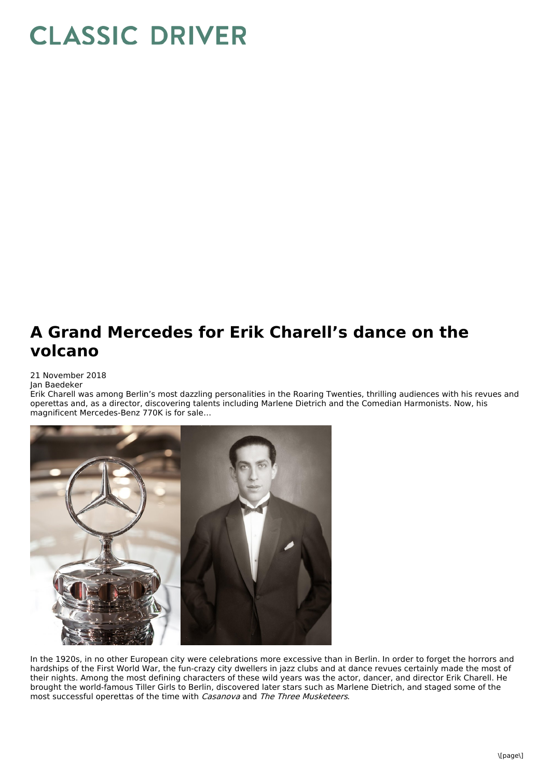## **CLASSIC DRIVER**

## **A Grand Mercedes for Erik Charell's dance on the volcano**

21 November 2018

Jan Baedeker

Erik Charell was among Berlin's most dazzling personalities in the Roaring Twenties, thrilling audiences with his revues and operettas and, as a director, discovering talents including Marlene Dietrich and the Comedian Harmonists. Now, his magnificent Mercedes-Benz 770K is for sale…



In the 1920s, in no other European city were celebrations more excessive than in Berlin. In order to forget the horrors and hardships of the First World War, the fun-crazy city dwellers in jazz clubs and at dance revues certainly made the most of their nights. Among the most defining characters of these wild years was the actor, dancer, and director Erik Charell. He brought the world-famous Tiller Girls to Berlin, discovered later stars such as Marlene Dietrich, and staged some of the most successful operettas of the time with Casanova and The Three Musketeers.